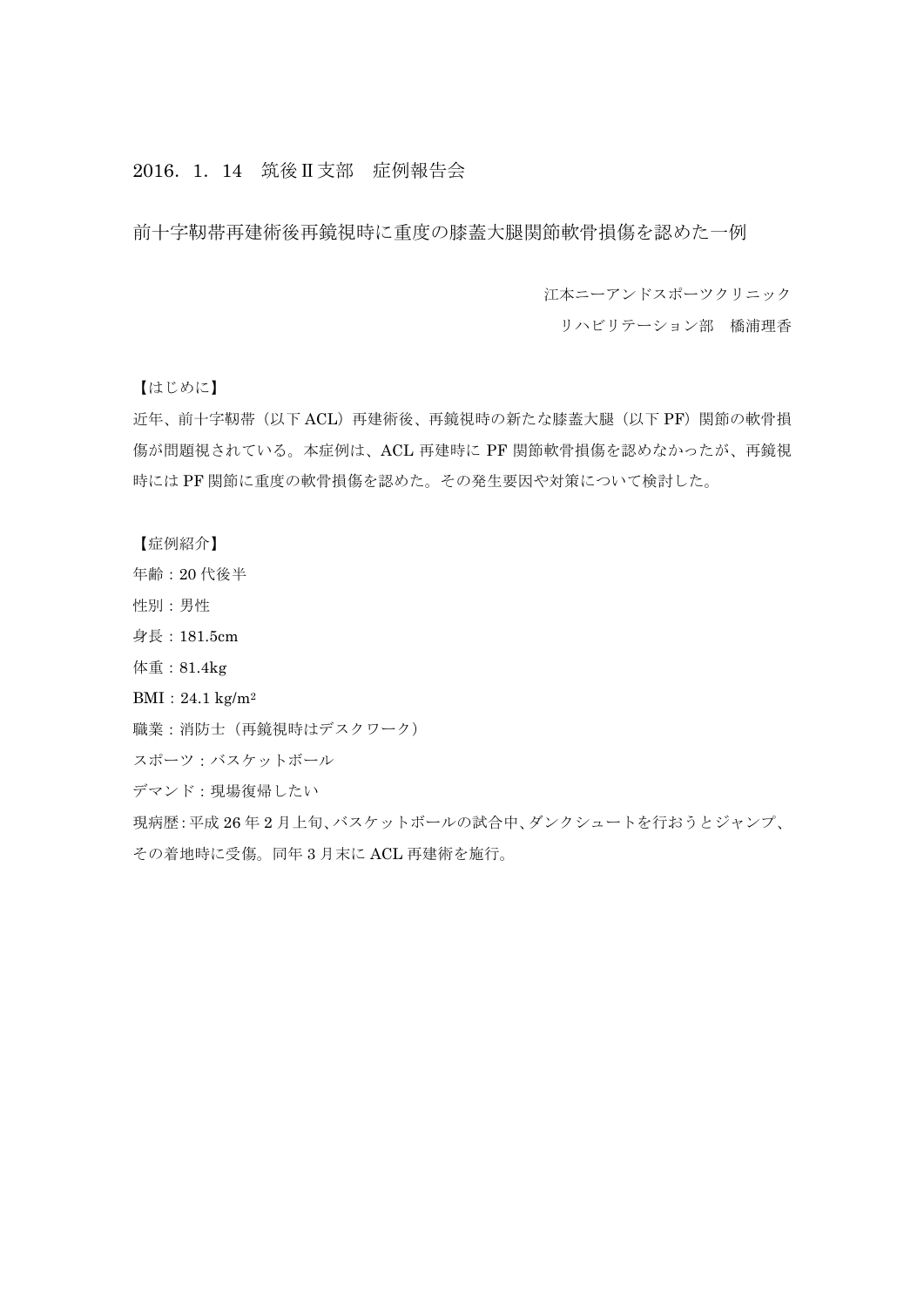# 2016.1.14 筑後Ⅱ支部 症例報告会

前十字靭帯再建術後再鏡視時に重度の膝蓋大腿関節軟骨損傷を認めた一例

江本ニーアンドスポーツクリニック

リハビリテーション部 橋浦理香

【はじめに】

近年、前十字靭帯(以下 ACL)再建術後、再鏡視時の新たな膝蓋大腿(以下 PF)関節の軟骨損 傷が問題視されている。本症例は、ACL 再建時に PF 関節軟骨損傷を認めなかったが、再鏡視 時には PF 関節に重度の軟骨損傷を認めた。その発生要因や対策について検討した。

【症例紹介】

- 年齢:20 代後半
- 性別:男性
- 身長:181.5cm
- 体重:81.4kg
- BMI:24.1 kg/m2
- 職業:消防士(再鏡視時はデスクワーク)
- スポーツ:バスケットボール

デマンド:現場復帰したい

現病歴:平成 26 年 2 月上旬、バスケットボールの試合中、ダンクシュートを行おうとジャンプ、 その着地時に受傷。同年 3 月末に ACL 再建術を施行。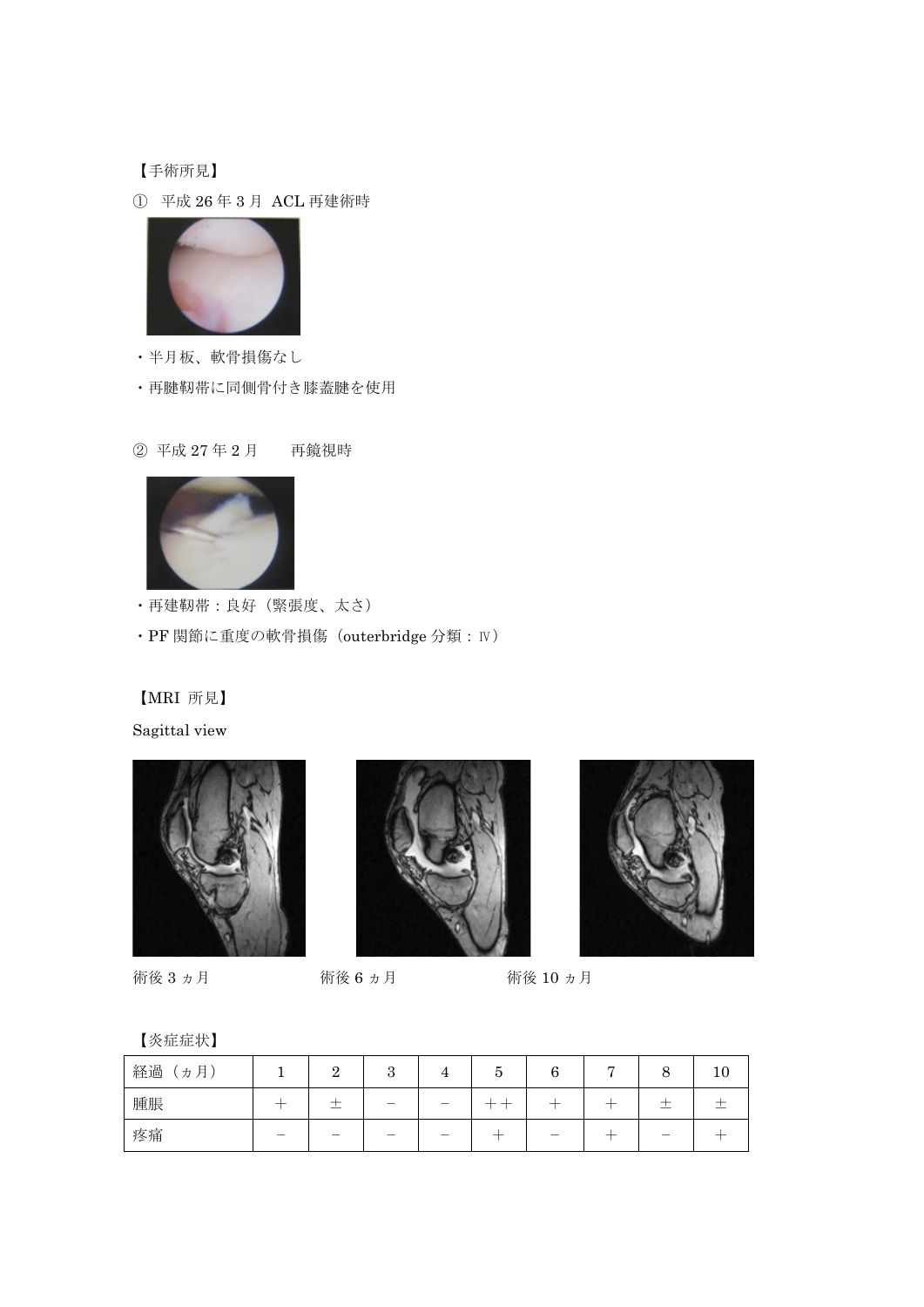【手術所見】

① 平成 26 年 3 月 ACL 再建術時



・半月板、軟骨損傷なし

・再腱靭帯に同側骨付き膝蓋腱を使用

② 平成 27 年 2 月 再鏡視時



・再建靭帯:良好(緊張度、太さ)

・PF 関節に重度の軟骨損傷(outerbridge 分類:Ⅳ)

【MRI 所見】

Sagittal view







術後 3 ヵ月 術後 6 ヵ月 術後 10 ヵ月

【炎症症状】

| 経過<br>月,<br>力 | റ<br>∸ | υ | ಀ | ◠ | − |                          | 10 |
|---------------|--------|---|---|---|---|--------------------------|----|
| 腫脹            | ∸      |   |   |   |   | $\overline{\phantom{a}}$ |    |
| 疼痛            |        |   |   |   |   |                          |    |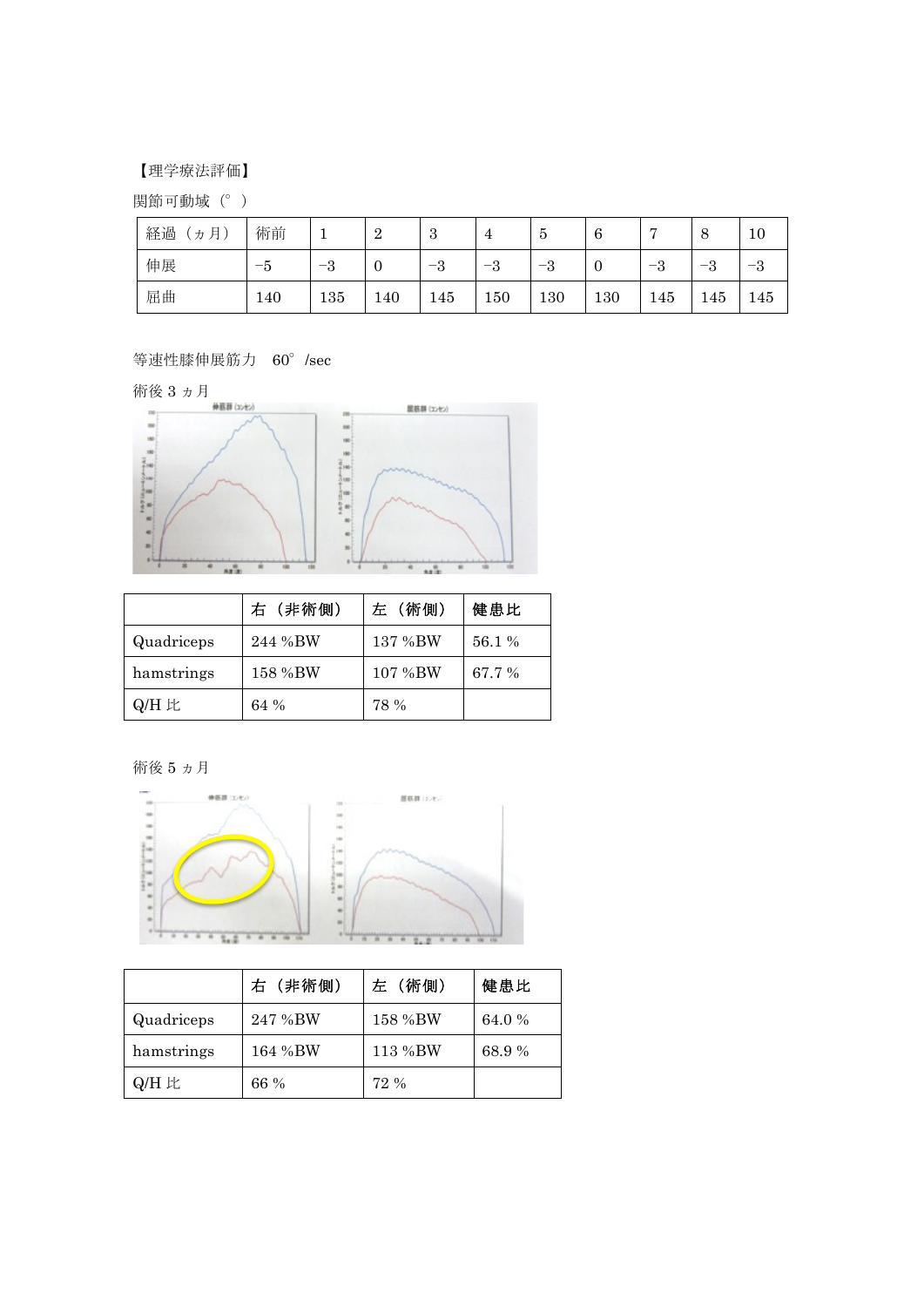## 【理学療法評価】

関節可動域(°)

| 経過<br>月<br>力 | 術前  |      | $\Omega$<br>↵ | 3       | 4                  | ಲ               | O   | −                                          | O                    | 10              |
|--------------|-----|------|---------------|---------|--------------------|-----------------|-----|--------------------------------------------|----------------------|-----------------|
| 伸展           | –ე  | $-3$ | v             | റ<br>ాన | $\Omega$<br>–<br>ಲ | $\epsilon$<br>പ | v   | $\Omega$<br>$\overline{\phantom{0}}$<br>್ರ | $\Omega$<br>- -<br>ം | $\epsilon$<br>ు |
| 屈曲           | 140 | 135  | 140           | 145     | 150                | 130             | 130 | 145                                        | 145                  | 145             |

等速性膝伸展筋力 60°/sec



|            | 右 (非術側) | 左 (術側)  | 健患比    |
|------------|---------|---------|--------|
| Quadriceps | 244 %BW | 137 %BW | 56.1 % |
| hamstrings | 158 %BW | 107 %BW | 67.7 % |
| Q/H 比      | 64 %    | 78 %    |        |

術後 5 ヵ月



|            | 右 (非術側) | 左 (術側)  | 健患比    |
|------------|---------|---------|--------|
| Quadriceps | 247 %BW | 158 %BW | 64.0 % |
| hamstrings | 164 %BW | 113 %BW | 68.9%  |
| Q/H 比      | 66 %    | 72 %    |        |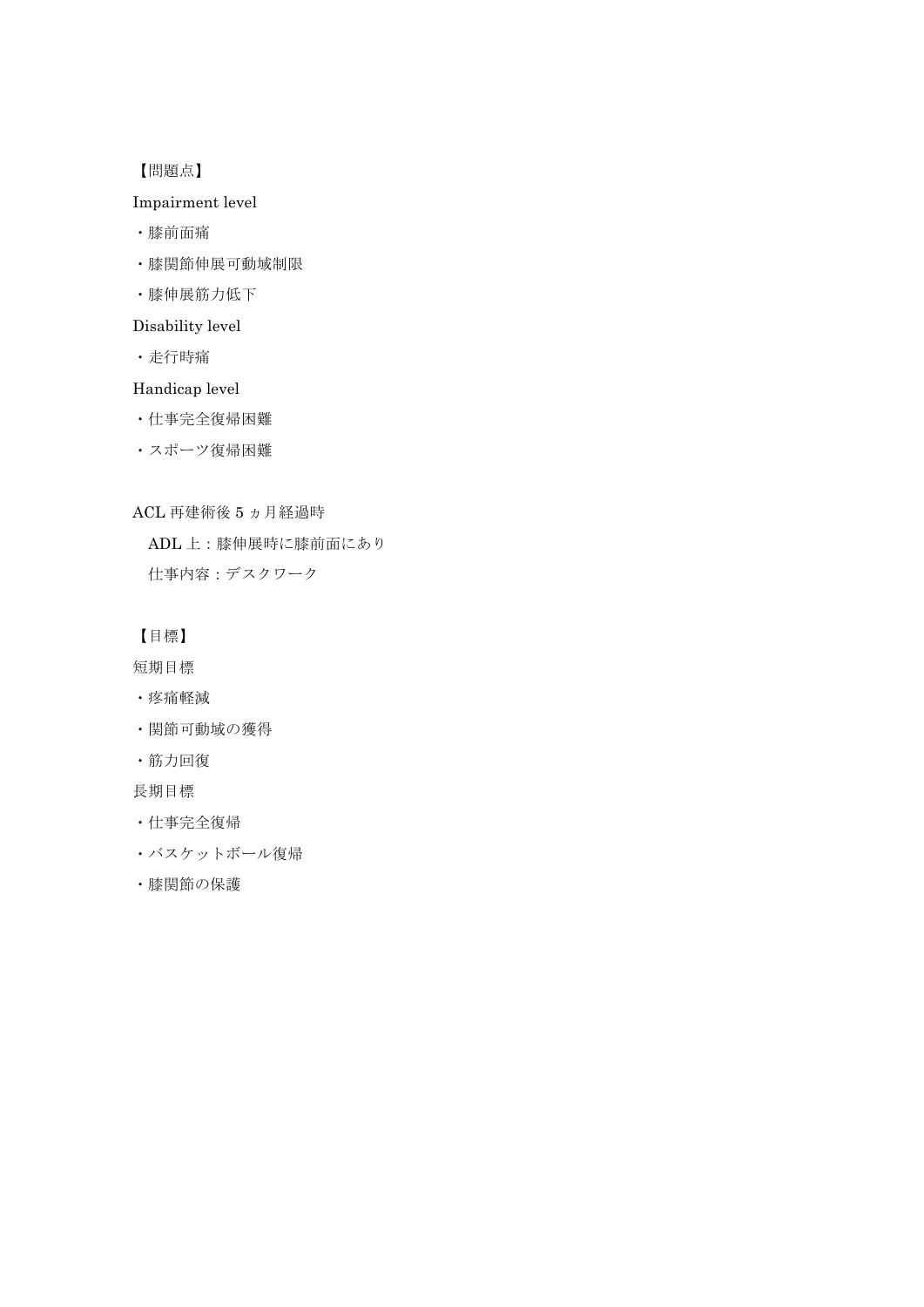【問題点】

## Impairment level

- ・膝前面痛
- ・膝関節伸展可動域制限
- ・膝伸展筋力低下

### Disability level

・走行時痛

### Handicap level

- ・仕事完全復帰困難
- ・スポーツ復帰困難

ACL 再建術後 5 ヵ月経過時

ADL 上:膝伸展時に膝前面にあり

仕事内容:デスクワーク

【目標】

短期目標

- ・疼痛軽減
- ・関節可動域の獲得
- ・筋力回復

長期目標

- ・仕事完全復帰
- ・バスケットボール復帰
- ・膝関節の保護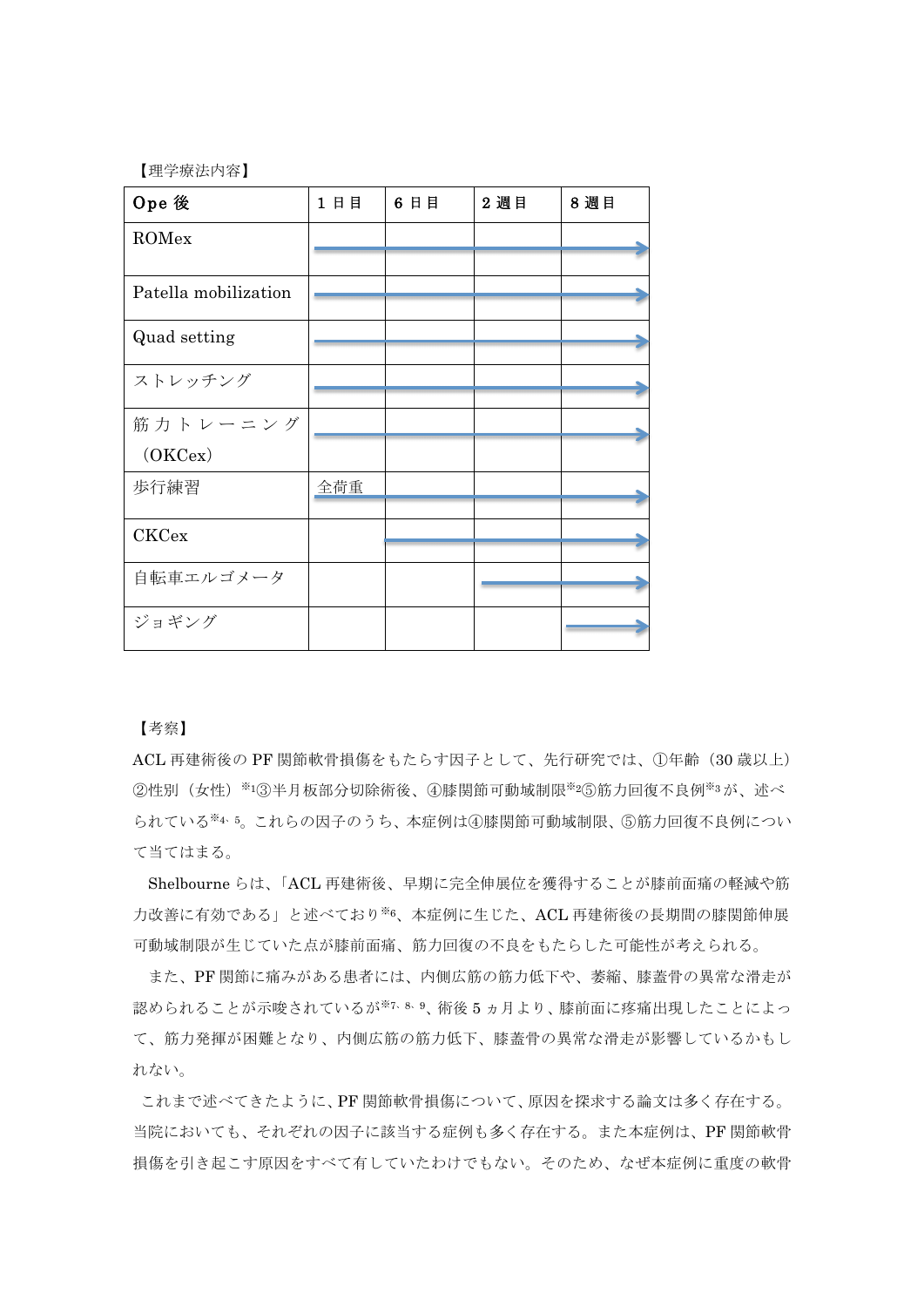【理学療法内容】

| Ope 後                | 1日目 | 6日目 | 2 週目 | 8週目 |
|----------------------|-----|-----|------|-----|
| ROMex                |     |     |      |     |
|                      |     |     |      |     |
| Patella mobilization |     |     |      |     |
| Quad setting         |     |     |      |     |
|                      |     |     |      |     |
| ストレッチング              |     |     |      |     |
| 筋力トレーニング             |     |     |      |     |
| (OKCex)              |     |     |      |     |
| 歩行練習                 | 全荷重 |     |      |     |
|                      |     |     |      |     |
| <b>CKCex</b>         |     |     |      |     |
| 自転車エルゴメータ            |     |     |      |     |
|                      |     |     |      |     |
| ジョギング                |     |     |      |     |

【考察】

ACL 再建術後の PF 関節軟骨損傷をもたらす因子として、先行研究では、①年齢(30 歳以上) ②性別(女性)※1③半月板部分切除術後、4膝関節可動域制限※26筋力回復不良例※3が、述べ られている※4、5。これらの因子のうち、本症例は④膝関節可動域制限、⑤筋力回復不良例につい て当てはまる。

Shelbourne らは、「ACL 再建術後、早期に完全伸展位を獲得することが膝前面痛の軽減や筋 力改善に有効である」と述べており※6、本症例に生じた、ACL 再建術後の長期間の膝関節伸展 可動域制限が生じていた点が膝前面痛、筋力回復の不良をもたらした可能性が考えられる。

また、PF 関節に痛みがある患者には、内側広筋の筋力低下や、萎縮、膝蓋骨の異常な滑走が 認められることが示唆されているが※7、8、9、術後 5ヵ月より、膝前面に疼痛出現したことによっ て、筋力発揮が困難となり、内側広筋の筋力低下、膝蓋骨の異常な滑走が影響しているかもし れない。

これまで述べてきたように、PF 関節軟骨損傷について、原因を探求する論文は多く存在する。 当院においても、それぞれの因子に該当する症例も多く存在する。また本症例は、PF 関節軟骨 損傷を引き起こす原因をすべて有していたわけでもない。そのため、なぜ本症例に重度の軟骨